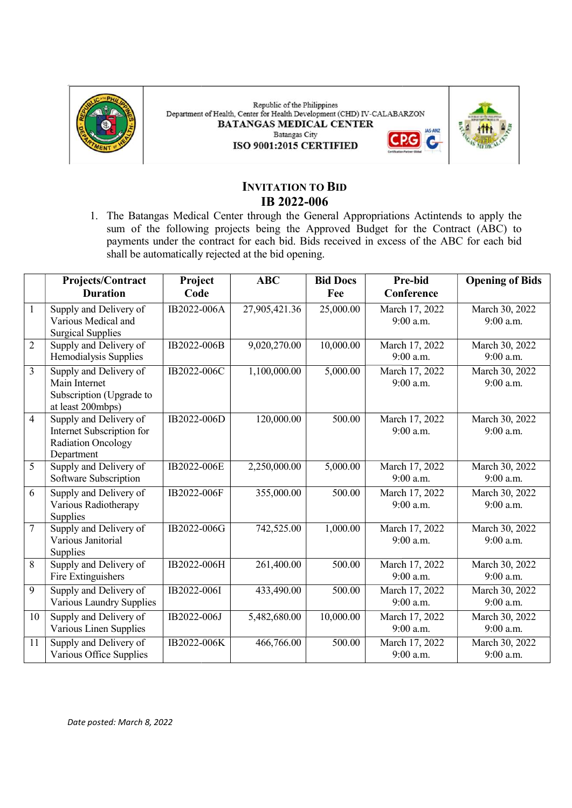

Republic of the Philippines Department of Health, Center for Health Development (CHD) IV-CALABARZON **BATANGAS MEDICAL CENTER JAS-ANZ Batangas City** ISO 9001:2015 CERTIFIED



C.

# INVITATION TO BID IB 2022-006

1. The Batangas Medical Center through the General Appropriations Actintends to apply the sum of the following projects being the Approved Budget for the Contract (ABC) to payments under the contract for each bid. Bids received in excess of the ABC for each bid shall be automatically rejected at the bid opening. Batangas Medical Center through the General Appropriations Actintends to apply the of the following projects being the Approved Budget for the Contract (ABC) to nents under the contract for each bid. Bids received in exces sum of the following projects being the Approved Budget for the Contract (ABC) to

|                | Projects/Contract<br><b>Duration</b> | Project<br>Code | <b>ABC</b>    | <b>Bid Docs</b><br>Fee | <b>Pre-bid</b><br>Conference | <b>Opening of Bids</b> |
|----------------|--------------------------------------|-----------------|---------------|------------------------|------------------------------|------------------------|
|                |                                      |                 |               |                        |                              |                        |
|                | Supply and Delivery of               | IB2022-006A     | 27,905,421.36 | 25,000.00              | March 17, 2022               | March 30, 2022         |
|                | Various Medical and                  |                 |               |                        | 9:00 a.m.                    | 9:00 a.m.              |
|                | <b>Surgical Supplies</b>             |                 |               |                        |                              |                        |
| $\overline{2}$ | Supply and Delivery of               | IB2022-006B     | 9,020,270.00  | 10,000.00              | March 17, 2022               | March 30, 2022         |
|                | Hemodialysis Supplies                |                 |               |                        | $9:00$ a.m.                  | 9:00 a.m.              |
| $\overline{3}$ | Supply and Delivery of               | IB2022-006C     | 1,100,000.00  | 5,000.00               | March 17, 2022               | March 30, 2022         |
|                | Main Internet                        |                 |               |                        | 9:00 a.m.                    | 9:00 a.m.              |
|                | Subscription (Upgrade to             |                 |               |                        |                              |                        |
|                | at least 200mbps)                    |                 |               |                        |                              |                        |
| $\overline{4}$ | Supply and Delivery of               | IB2022-006D     | 120,000.00    | 500.00                 | March 17, 2022               | March 30, 2022         |
|                | Internet Subscription for            |                 |               |                        | 9:00 a.m.                    | 9:00 a.m.              |
|                | <b>Radiation Oncology</b>            |                 |               |                        |                              |                        |
|                | Department                           |                 |               |                        |                              |                        |
| 5              | Supply and Delivery of               | IB2022-006E     | 2,250,000.00  | 5,000.00               | March 17, 2022               | March 30, 2022         |
|                | Software Subscription                |                 |               |                        | $9:00$ a.m.                  | $9:00$ a.m.            |
| 6              | Supply and Delivery of               | IB2022-006F     | 355,000.00    | 500.00                 | March 17, 2022               | March 30, 2022         |
|                | Various Radiotherapy                 |                 |               |                        | 9:00 a.m.                    | 9:00 a.m.              |
|                | Supplies                             |                 |               |                        |                              |                        |
| $\overline{7}$ | Supply and Delivery of               | IB2022-006G     | 742,525.00    | 1,000.00               | March 17, 2022               | March 30, 2022         |
|                | Various Janitorial                   |                 |               |                        | 9:00 a.m.                    | 9:00 a.m.              |
|                | Supplies                             |                 |               |                        |                              |                        |
| 8              | Supply and Delivery of               | IB2022-006H     | 261,400.00    | 500.00                 | March 17, 2022               | March 30, 2022         |
|                | Fire Extinguishers                   |                 |               |                        | 9:00 a.m.                    | 9:00 a.m.              |
| 9              | Supply and Delivery of               | IB2022-006I     | 433,490.00    | 500.00                 | March 17, 2022               | March 30, 2022         |
|                | Various Laundry Supplies             |                 |               |                        | 9:00 a.m.                    | 9:00 a.m.              |
| 10             | Supply and Delivery of               | IB2022-006J     | 5,482,680.00  | 10,000.00              | March 17, 2022               | March 30, 2022         |
|                | Various Linen Supplies               |                 |               |                        | 9:00 a.m.                    | 9:00 a.m.              |
|                |                                      |                 |               |                        |                              |                        |
| 11             | Supply and Delivery of               | IB2022-006K     | 466,766.00    | 500.00                 | March 17, 2022               | March 30, 2022         |
|                | Various Office Supplies              |                 |               |                        | 9:00 a.m.                    | 9:00 a.m.              |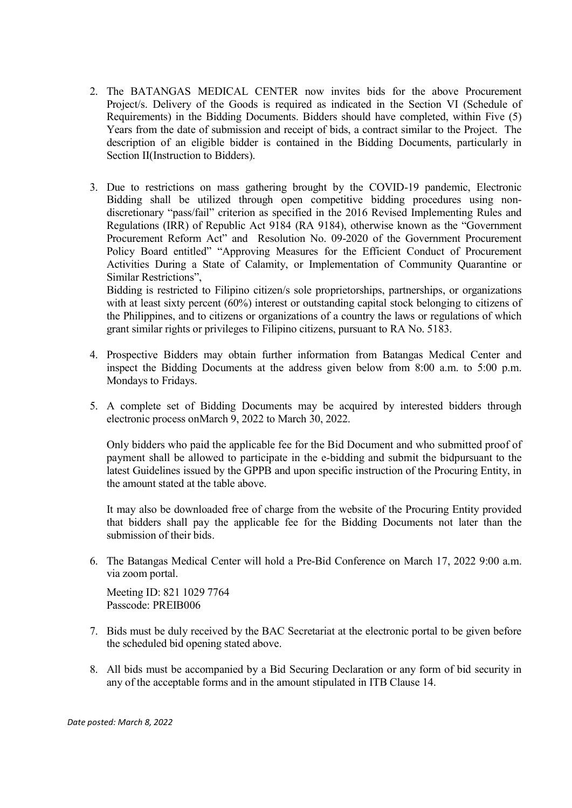- 2. The BATANGAS MEDICAL CENTER now invites bids for the above Procurement Project/s. Delivery of the Goods is required as indicated in the Section VI (Schedule of Requirements) in the Bidding Documents. Bidders should have completed, within Five (5) Years from the date of submission and receipt of bids, a contract similar to the Project. The description of an eligible bidder is contained in the Bidding Documents, particularly in Section II(Instruction to Bidders).
- 3. Due to restrictions on mass gathering brought by the COVID-19 pandemic, Electronic Bidding shall be utilized through open competitive bidding procedures using nondiscretionary "pass/fail" criterion as specified in the 2016 Revised Implementing Rules and Regulations (IRR) of Republic Act 9184 (RA 9184), otherwise known as the "Government Procurement Reform Act" and Resolution No. 09-2020 of the Government Procurement Policy Board entitled" "Approving Measures for the Efficient Conduct of Procurement Activities During a State of Calamity, or Implementation of Community Quarantine or Similar Restrictions",

Bidding is restricted to Filipino citizen/s sole proprietorships, partnerships, or organizations with at least sixty percent (60%) interest or outstanding capital stock belonging to citizens of the Philippines, and to citizens or organizations of a country the laws or regulations of which grant similar rights or privileges to Filipino citizens, pursuant to RA No. 5183.

- 4. Prospective Bidders may obtain further information from Batangas Medical Center and inspect the Bidding Documents at the address given below from 8:00 a.m. to 5:00 p.m. Mondays to Fridays.
- 5. A complete set of Bidding Documents may be acquired by interested bidders through electronic process onMarch 9, 2022 to March 30, 2022.

Only bidders who paid the applicable fee for the Bid Document and who submitted proof of payment shall be allowed to participate in the e-bidding and submit the bidpursuant to the latest Guidelines issued by the GPPB and upon specific instruction of the Procuring Entity, in the amount stated at the table above.

It may also be downloaded free of charge from the website of the Procuring Entity provided that bidders shall pay the applicable fee for the Bidding Documents not later than the submission of their bids.

6. The Batangas Medical Center will hold a Pre-Bid Conference on March 17, 2022 9:00 a.m. via zoom portal.

Meeting ID: 821 1029 7764 Passcode: PREIB006

- 7. Bids must be duly received by the BAC Secretariat at the electronic portal to be given before the scheduled bid opening stated above.
- 8. All bids must be accompanied by a Bid Securing Declaration or any form of bid security in any of the acceptable forms and in the amount stipulated in ITB Clause 14.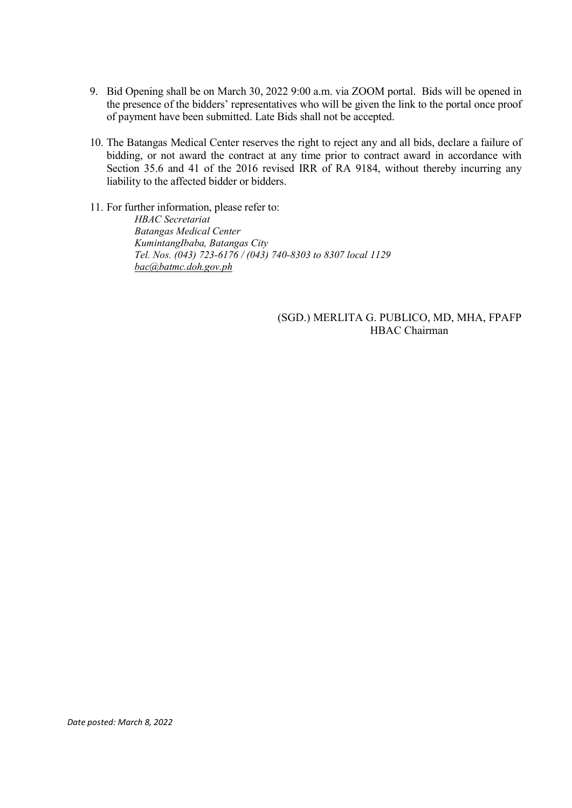- 9. Bid Opening shall be on March 30, 2022 9:00 a.m. via ZOOM portal. Bids will be opened in the presence of the bidders' representatives who will be given the link to the portal once proof of payment have been submitted. Late Bids shall not be accepted.
- 10. The Batangas Medical Center reserves the right to reject any and all bids, declare a failure of bidding, or not award the contract at any time prior to contract award in accordance with Section 35.6 and 41 of the 2016 revised IRR of RA 9184, without thereby incurring any liability to the affected bidder or bidders.
- 11. For further information, please refer to: HBAC Secretariat Batangas Medical Center KumintangIbaba, Batangas City Tel. Nos. (043) 723-6176 / (043) 740-8303 to 8307 local 1129 bac@batmc.doh.gov.ph

## (SGD.) MERLITA G. PUBLICO, MD, MHA, FPAFP HBAC Chairman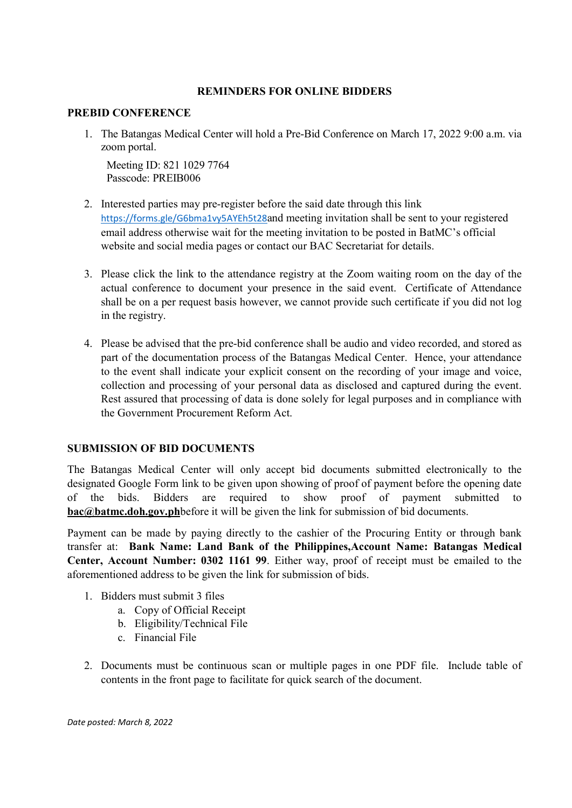## REMINDERS FOR ONLINE BIDDERS

#### PREBID CONFERENCE

1. The Batangas Medical Center will hold a Pre-Bid Conference on March 17, 2022 9:00 a.m. via zoom portal.

Meeting ID: 821 1029 7764 Passcode: PREIB006

- 2. Interested parties may pre-register before the said date through this link https://forms.gle/G6bma1vy5AYEh5t28and meeting invitation shall be sent to your registered email address otherwise wait for the meeting invitation to be posted in BatMC's official website and social media pages or contact our BAC Secretariat for details.
- 3. Please click the link to the attendance registry at the Zoom waiting room on the day of the actual conference to document your presence in the said event. Certificate of Attendance shall be on a per request basis however, we cannot provide such certificate if you did not log in the registry.
- 4. Please be advised that the pre-bid conference shall be audio and video recorded, and stored as part of the documentation process of the Batangas Medical Center. Hence, your attendance to the event shall indicate your explicit consent on the recording of your image and voice, collection and processing of your personal data as disclosed and captured during the event. Rest assured that processing of data is done solely for legal purposes and in compliance with the Government Procurement Reform Act.

## SUBMISSION OF BID DOCUMENTS

The Batangas Medical Center will only accept bid documents submitted electronically to the designated Google Form link to be given upon showing of proof of payment before the opening date of the bids. Bidders are required to show proof of payment submitted to bac@batmc.doh.gov.phbefore it will be given the link for submission of bid documents.

Payment can be made by paying directly to the cashier of the Procuring Entity or through bank transfer at: Bank Name: Land Bank of the Philippines,Account Name: Batangas Medical Center, Account Number: 0302 1161 99. Either way, proof of receipt must be emailed to the aforementioned address to be given the link for submission of bids.

- 1. Bidders must submit 3 files
	- a. Copy of Official Receipt
	- b. Eligibility/Technical File
	- c. Financial File
- 2. Documents must be continuous scan or multiple pages in one PDF file. Include table of contents in the front page to facilitate for quick search of the document.

Date posted: March 8, 2022